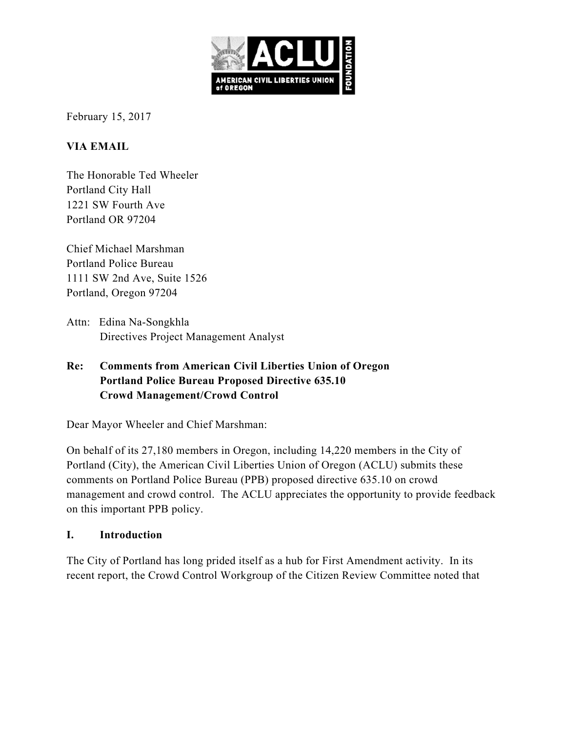

February 15, 2017

## **VIA EMAIL**

The Honorable Ted Wheeler Portland City Hall 1221 SW Fourth Ave Portland OR 97204

Chief Michael Marshman Portland Police Bureau 1111 SW 2nd Ave, Suite 1526 Portland, Oregon 97204

Attn: Edina Na-Songkhla Directives Project Management Analyst

## **Re: Comments from American Civil Liberties Union of Oregon Portland Police Bureau Proposed Directive 635.10 Crowd Management/Crowd Control**

Dear Mayor Wheeler and Chief Marshman:

On behalf of its 27,180 members in Oregon, including 14,220 members in the City of Portland (City), the American Civil Liberties Union of Oregon (ACLU) submits these comments on Portland Police Bureau (PPB) proposed directive 635.10 on crowd management and crowd control. The ACLU appreciates the opportunity to provide feedback on this important PPB policy.

### **I. Introduction**

The City of Portland has long prided itself as a hub for First Amendment activity. In its recent report, the Crowd Control Workgroup of the Citizen Review Committee noted that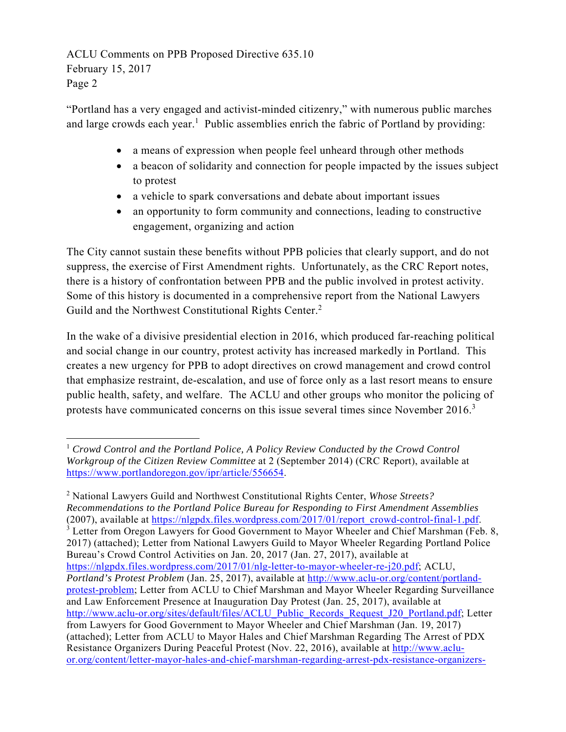"Portland has a very engaged and activist-minded citizenry," with numerous public marches and large crowds each year.<sup>1</sup> Public assemblies enrich the fabric of Portland by providing:

- a means of expression when people feel unheard through other methods
- a beacon of solidarity and connection for people impacted by the issues subject to protest
- a vehicle to spark conversations and debate about important issues
- an opportunity to form community and connections, leading to constructive engagement, organizing and action

The City cannot sustain these benefits without PPB policies that clearly support, and do not suppress, the exercise of First Amendment rights. Unfortunately, as the CRC Report notes, there is a history of confrontation between PPB and the public involved in protest activity. Some of this history is documented in a comprehensive report from the National Lawyers Guild and the Northwest Constitutional Rights Center.<sup>2</sup>

In the wake of a divisive presidential election in 2016, which produced far-reaching political and social change in our country, protest activity has increased markedly in Portland. This creates a new urgency for PPB to adopt directives on crowd management and crowd control that emphasize restraint, de-escalation, and use of force only as a last resort means to ensure public health, safety, and welfare. The ACLU and other groups who monitor the policing of protests have communicated concerns on this issue several times since November  $2016$ .<sup>3</sup>

2 National Lawyers Guild and Northwest Constitutional Rights Center, *Whose Streets? Recommendations to the Portland Police Bureau for Responding to First Amendment Assemblies* (2007), available at https://nlgpdx.files.wordpress.com/2017/01/report\_crowd-control-final-1.pdf. 3 <sup>3</sup> Letter from Oregon Lawyers for Good Government to Mayor Wheeler and Chief Marshman (Feb. 8, 2017) (attached); Letter from National Lawyers Guild to Mayor Wheeler Regarding Portland Police Bureau's Crowd Control Activities on Jan. 20, 2017 (Jan. 27, 2017), available at https://nlgpdx.files.wordpress.com/2017/01/nlg-letter-to-mayor-wheeler-re-j20.pdf; ACLU, *Portland's Protest Problem* (Jan. 25, 2017), available at http://www.aclu-or.org/content/portlandprotest-problem; Letter from ACLU to Chief Marshman and Mayor Wheeler Regarding Surveillance and Law Enforcement Presence at Inauguration Day Protest (Jan. 25, 2017), available at http://www.aclu-or.org/sites/default/files/ACLU\_Public\_Records\_Request\_J20\_Portland.pdf; Letter from Lawyers for Good Government to Mayor Wheeler and Chief Marshman (Jan. 19, 2017) (attached); Letter from ACLU to Mayor Hales and Chief Marshman Regarding The Arrest of PDX Resistance Organizers During Peaceful Protest (Nov. 22, 2016), available at http://www.acluor.org/content/letter-mayor-hales-and-chief-marshman-regarding-arrest-pdx-resistance-organizers-

 <sup>1</sup> *Crowd Control and the Portland Police, A Policy Review Conducted by the Crowd Control Workgroup of the Citizen Review Committee* at 2 (September 2014) (CRC Report), available at https://www.portlandoregon.gov/ipr/article/556654.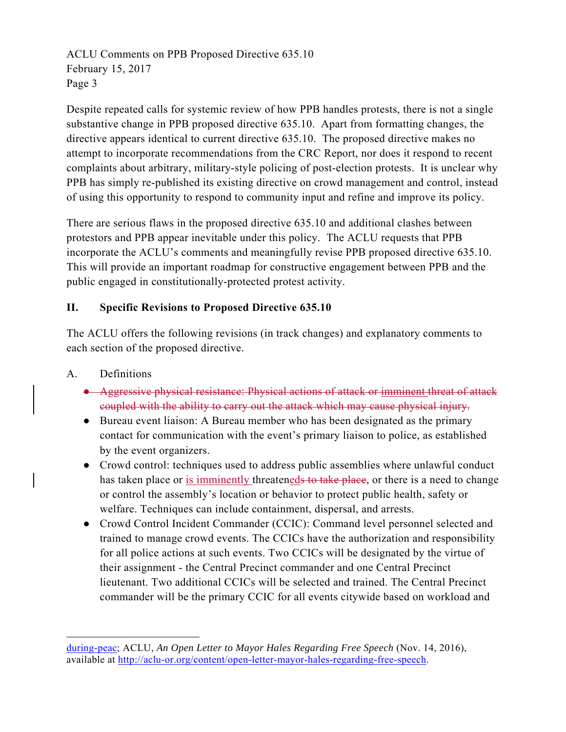Despite repeated calls for systemic review of how PPB handles protests, there is not a single substantive change in PPB proposed directive 635.10. Apart from formatting changes, the directive appears identical to current directive 635.10. The proposed directive makes no attempt to incorporate recommendations from the CRC Report, nor does it respond to recent complaints about arbitrary, military-style policing of post-election protests. It is unclear why PPB has simply re-published its existing directive on crowd management and control, instead of using this opportunity to respond to community input and refine and improve its policy.

There are serious flaws in the proposed directive 635.10 and additional clashes between protestors and PPB appear inevitable under this policy. The ACLU requests that PPB incorporate the ACLU's comments and meaningfully revise PPB proposed directive 635.10. This will provide an important roadmap for constructive engagement between PPB and the public engaged in constitutionally-protected protest activity.

### **II. Specific Revisions to Proposed Directive 635.10**

The ACLU offers the following revisions (in track changes) and explanatory comments to each section of the proposed directive.

A. Definitions

- Aggressive physical resistance: Physical actions of attack or imminent threat of attack coupled with the ability to carry out the attack which may cause physical injury.
- Bureau event liaison: A Bureau member who has been designated as the primary contact for communication with the event's primary liaison to police, as established by the event organizers.
- Crowd control: techniques used to address public assemblies where unlawful conduct has taken place or is imminently threateneds to take place, or there is a need to change or control the assembly's location or behavior to protect public health, safety or welfare. Techniques can include containment, dispersal, and arrests.
- Crowd Control Incident Commander (CCIC): Command level personnel selected and trained to manage crowd events. The CCICs have the authorization and responsibility for all police actions at such events. Two CCICs will be designated by the virtue of their assignment - the Central Precinct commander and one Central Precinct lieutenant. Two additional CCICs will be selected and trained. The Central Precinct commander will be the primary CCIC for all events citywide based on workload and

during-peac; ACLU, *An Open Letter to Mayor Hales Regarding Free Speech* (Nov. 14, 2016), available at http://aclu-or.org/content/open-letter-mayor-hales-regarding-free-speech.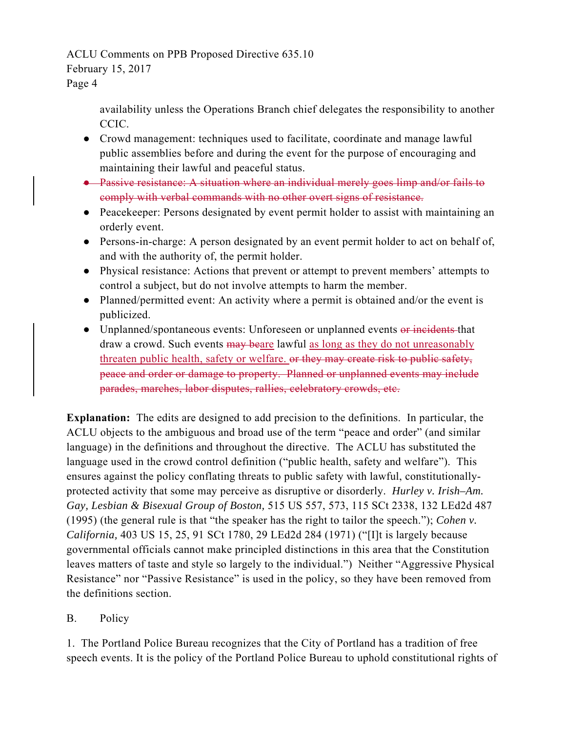# ACLU Comments on PPB Proposed Directive 635.10

### February 15, 2017

Page 4

availability unless the Operations Branch chief delegates the responsibility to another CCIC.

- Crowd management: techniques used to facilitate, coordinate and manage lawful public assemblies before and during the event for the purpose of encouraging and maintaining their lawful and peaceful status.
- Passive resistance: A situation where an individual merely goes limp and/or fails to comply with verbal commands with no other overt signs of resistance.
- Peacekeeper: Persons designated by event permit holder to assist with maintaining an orderly event.
- Persons-in-charge: A person designated by an event permit holder to act on behalf of, and with the authority of, the permit holder.
- Physical resistance: Actions that prevent or attempt to prevent members' attempts to control a subject, but do not involve attempts to harm the member.
- Planned/permitted event: An activity where a permit is obtained and/or the event is publicized.
- Unplanned/spontaneous events: Unforeseen or unplanned events or incidents that draw a crowd. Such events may beare lawful as long as they do not unreasonably threaten public health, safety or welfare. or they may create risk to public safety, peace and order or damage to property. Planned or unplanned events may include parades, marches, labor disputes, rallies, celebratory crowds, etc.

**Explanation:** The edits are designed to add precision to the definitions. In particular, the ACLU objects to the ambiguous and broad use of the term "peace and order" (and similar language) in the definitions and throughout the directive. The ACLU has substituted the language used in the crowd control definition ("public health, safety and welfare"). This ensures against the policy conflating threats to public safety with lawful, constitutionallyprotected activity that some may perceive as disruptive or disorderly. *Hurley v. Irish–Am. Gay, Lesbian & Bisexual Group of Boston,* 515 US 557, 573, 115 SCt 2338, 132 LEd2d 487 (1995) (the general rule is that "the speaker has the right to tailor the speech."); *Cohen v. California,* 403 US 15, 25, 91 SCt 1780, 29 LEd2d 284 (1971) ("[I]t is largely because governmental officials cannot make principled distinctions in this area that the Constitution leaves matters of taste and style so largely to the individual.") Neither "Aggressive Physical Resistance" nor "Passive Resistance" is used in the policy, so they have been removed from the definitions section.

## B. Policy

1. The Portland Police Bureau recognizes that the City of Portland has a tradition of free speech events. It is the policy of the Portland Police Bureau to uphold constitutional rights of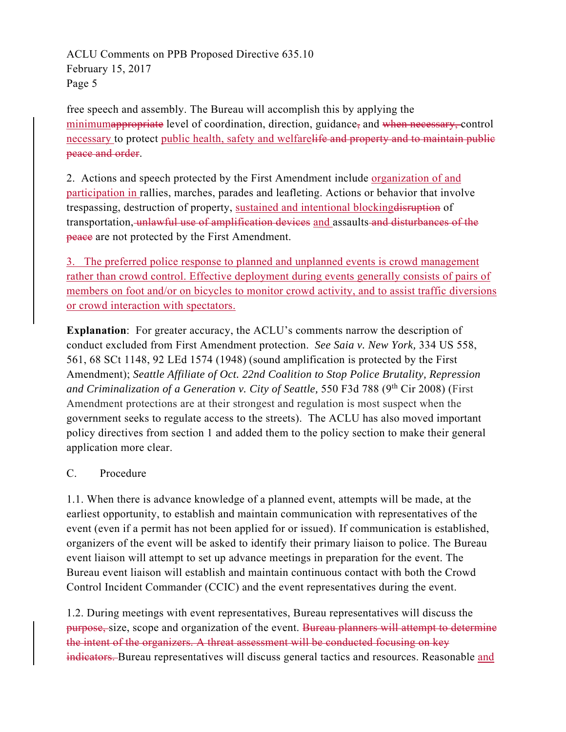free speech and assembly. The Bureau will accomplish this by applying the minimumappropriate level of coordination, direction, guidance, and when necessary, control necessary to protect public health, safety and welfarelife and property and to maintain public peace and order.

2. Actions and speech protected by the First Amendment include organization of and participation in rallies, marches, parades and leafleting. Actions or behavior that involve trespassing, destruction of property, sustained and intentional blockingdisruption of transportation, unlawful use of amplification devices and assaults and disturbances of the peace are not protected by the First Amendment.

3. The preferred police response to planned and unplanned events is crowd management rather than crowd control. Effective deployment during events generally consists of pairs of members on foot and/or on bicycles to monitor crowd activity, and to assist traffic diversions or crowd interaction with spectators.

**Explanation**: For greater accuracy, the ACLU's comments narrow the description of conduct excluded from First Amendment protection. *See Saia v. New York,* 334 US 558, 561, 68 SCt 1148, 92 LEd 1574 (1948) (sound amplification is protected by the First Amendment); *Seattle Affiliate of Oct. 22nd Coalition to Stop Police Brutality, Repression and Criminalization of a Generation v. City of Seattle, 550 F3d 788 (9<sup>th</sup> Cir 2008) (First* Amendment protections are at their strongest and regulation is most suspect when the government seeks to regulate access to the streets). The ACLU has also moved important policy directives from section 1 and added them to the policy section to make their general application more clear.

### C. Procedure

1.1. When there is advance knowledge of a planned event, attempts will be made, at the earliest opportunity, to establish and maintain communication with representatives of the event (even if a permit has not been applied for or issued). If communication is established, organizers of the event will be asked to identify their primary liaison to police. The Bureau event liaison will attempt to set up advance meetings in preparation for the event. The Bureau event liaison will establish and maintain continuous contact with both the Crowd Control Incident Commander (CCIC) and the event representatives during the event.

1.2. During meetings with event representatives, Bureau representatives will discuss the purpose, size, scope and organization of the event. Bureau planners will attempt to determine the intent of the organizers. A threat assessment will be conducted focusing on key indicators. Bureau representatives will discuss general tactics and resources. Reasonable and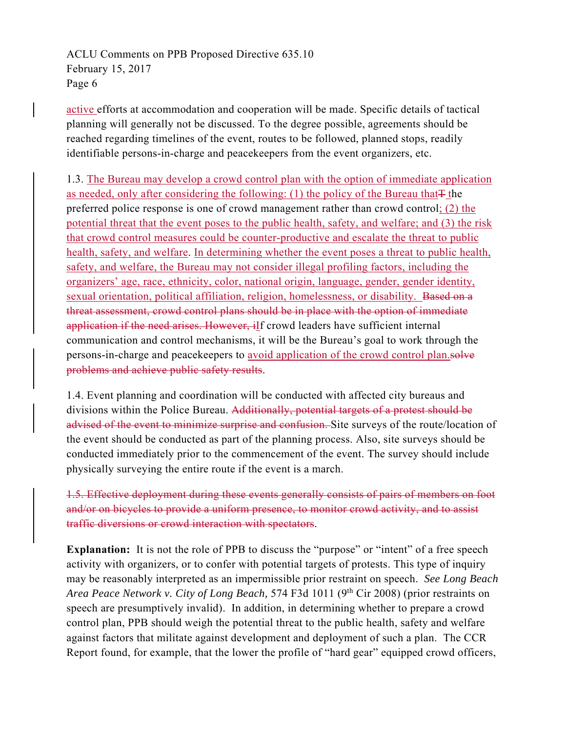active efforts at accommodation and cooperation will be made. Specific details of tactical planning will generally not be discussed. To the degree possible, agreements should be reached regarding timelines of the event, routes to be followed, planned stops, readily identifiable persons-in-charge and peacekeepers from the event organizers, etc.

1.3. The Bureau may develop a crowd control plan with the option of immediate application as needed, only after considering the following: (1) the policy of the Bureau that $\pm$  the preferred police response is one of crowd management rather than crowd control;  $(2)$  the potential threat that the event poses to the public health, safety, and welfare; and (3) the risk that crowd control measures could be counter-productive and escalate the threat to public health, safety, and welfare. In determining whether the event poses a threat to public health, safety, and welfare, the Bureau may not consider illegal profiling factors, including the organizers' age, race, ethnicity, color, national origin, language, gender, gender identity, sexual orientation, political affiliation, religion, homelessness, or disability. Based on a threat assessment, crowd control plans should be in place with the option of immediate application if the need arises. However, iIf crowd leaders have sufficient internal communication and control mechanisms, it will be the Bureau's goal to work through the persons-in-charge and peacekeepers to avoid application of the crowd control plan.solve problems and achieve public safety results.

1.4. Event planning and coordination will be conducted with affected city bureaus and divisions within the Police Bureau. Additionally, potential targets of a protest should be advised of the event to minimize surprise and confusion. Site surveys of the route/location of the event should be conducted as part of the planning process. Also, site surveys should be conducted immediately prior to the commencement of the event. The survey should include physically surveying the entire route if the event is a march.

1.5. Effective deployment during these events generally consists of pairs of members on foot and/or on bicycles to provide a uniform presence, to monitor crowd activity, and to assist traffic diversions or crowd interaction with spectators.

**Explanation:** It is not the role of PPB to discuss the "purpose" or "intent" of a free speech activity with organizers, or to confer with potential targets of protests. This type of inquiry may be reasonably interpreted as an impermissible prior restraint on speech. *See Long Beach Area Peace Network v. City of Long Beach, 574 F3d 1011 (9<sup>th</sup> Cir 2008) (prior restraints on* speech are presumptively invalid). In addition, in determining whether to prepare a crowd control plan, PPB should weigh the potential threat to the public health, safety and welfare against factors that militate against development and deployment of such a plan. The CCR Report found, for example, that the lower the profile of "hard gear" equipped crowd officers,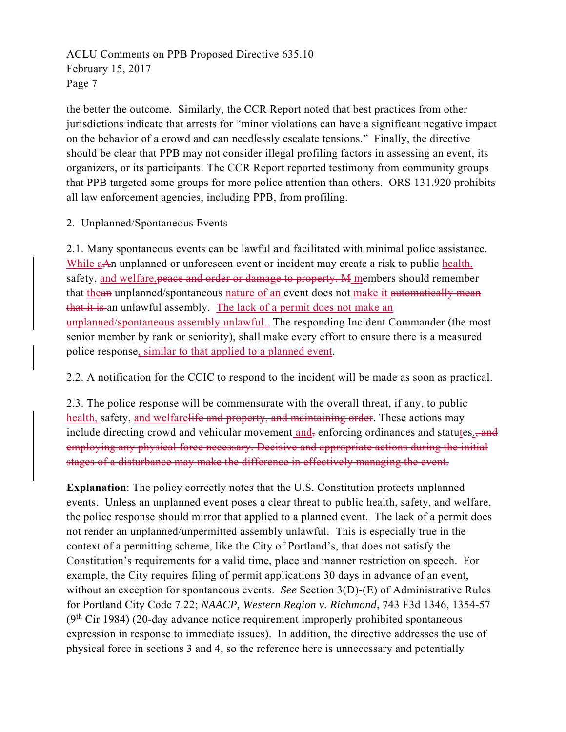the better the outcome. Similarly, the CCR Report noted that best practices from other jurisdictions indicate that arrests for "minor violations can have a significant negative impact on the behavior of a crowd and can needlessly escalate tensions." Finally, the directive should be clear that PPB may not consider illegal profiling factors in assessing an event, its organizers, or its participants. The CCR Report reported testimony from community groups that PPB targeted some groups for more police attention than others. ORS 131.920 prohibits all law enforcement agencies, including PPB, from profiling.

2. Unplanned/Spontaneous Events

2.1. Many spontaneous events can be lawful and facilitated with minimal police assistance. While aAn unplanned or unforeseen event or incident may create a risk to public health, safety, and welfare, peace and order or damage to property. M members should remember that thean unplanned/spontaneous nature of an event does not make it automatically mean that it is an unlawful assembly. The lack of a permit does not make an unplanned/spontaneous assembly unlawful. The responding Incident Commander (the most senior member by rank or seniority), shall make every effort to ensure there is a measured police response, similar to that applied to a planned event.

2.2. A notification for the CCIC to respond to the incident will be made as soon as practical.

2.3. The police response will be commensurate with the overall threat, if any, to public health, safety, and welfarelife and property, and maintaining order. These actions may include directing crowd and vehicular movement and, enforcing ordinances and statutes., and employing any physical force necessary. Decisive and appropriate actions during the initial stages of a disturbance may make the difference in effectively managing the event.

**Explanation**: The policy correctly notes that the U.S. Constitution protects unplanned events. Unless an unplanned event poses a clear threat to public health, safety, and welfare, the police response should mirror that applied to a planned event. The lack of a permit does not render an unplanned/unpermitted assembly unlawful. This is especially true in the context of a permitting scheme, like the City of Portland's, that does not satisfy the Constitution's requirements for a valid time, place and manner restriction on speech. For example, the City requires filing of permit applications 30 days in advance of an event, without an exception for spontaneous events. *See* Section 3(D)-(E) of Administrative Rules for Portland City Code 7.22; *NAACP, Western Region v. Richmond*, 743 F3d 1346, 1354-57  $(9<sup>th</sup> Cir 1984)$  (20-day advance notice requirement improperly prohibited spontaneous expression in response to immediate issues). In addition, the directive addresses the use of physical force in sections 3 and 4, so the reference here is unnecessary and potentially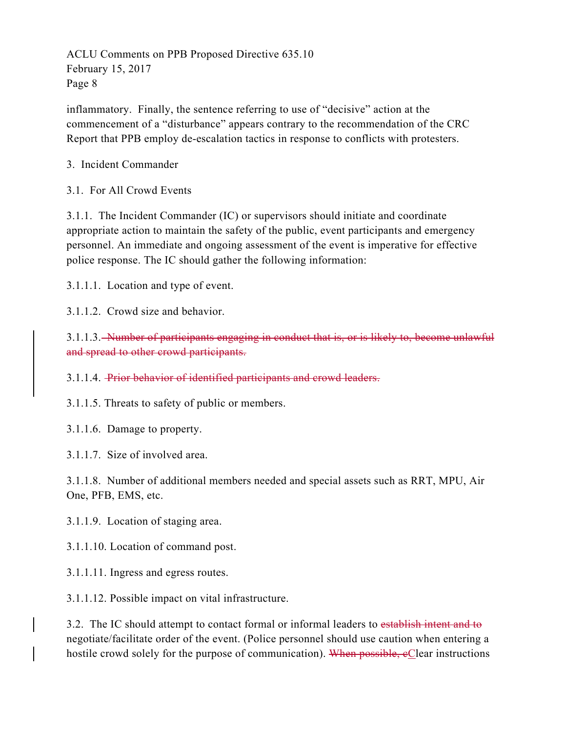inflammatory. Finally, the sentence referring to use of "decisive" action at the commencement of a "disturbance" appears contrary to the recommendation of the CRC Report that PPB employ de-escalation tactics in response to conflicts with protesters.

### 3. Incident Commander

3.1. For All Crowd Events

3.1.1. The Incident Commander (IC) or supervisors should initiate and coordinate appropriate action to maintain the safety of the public, event participants and emergency personnel. An immediate and ongoing assessment of the event is imperative for effective police response. The IC should gather the following information:

3.1.1.1. Location and type of event.

3.1.1.2. Crowd size and behavior.

3.1.1.3. Number of participants engaging in conduct that is, or is likely to, become unlawful and spread to other crowd participants.

3.1.1.4. Prior behavior of identified participants and crowd leaders.

3.1.1.5. Threats to safety of public or members.

3.1.1.6. Damage to property.

3.1.1.7. Size of involved area.

3.1.1.8. Number of additional members needed and special assets such as RRT, MPU, Air One, PFB, EMS, etc.

3.1.1.9. Location of staging area.

3.1.1.10. Location of command post.

3.1.1.11. Ingress and egress routes.

3.1.1.12. Possible impact on vital infrastructure.

3.2. The IC should attempt to contact formal or informal leaders to establish intent and to negotiate/facilitate order of the event. (Police personnel should use caution when entering a hostile crowd solely for the purpose of communication). When possible, eClear instructions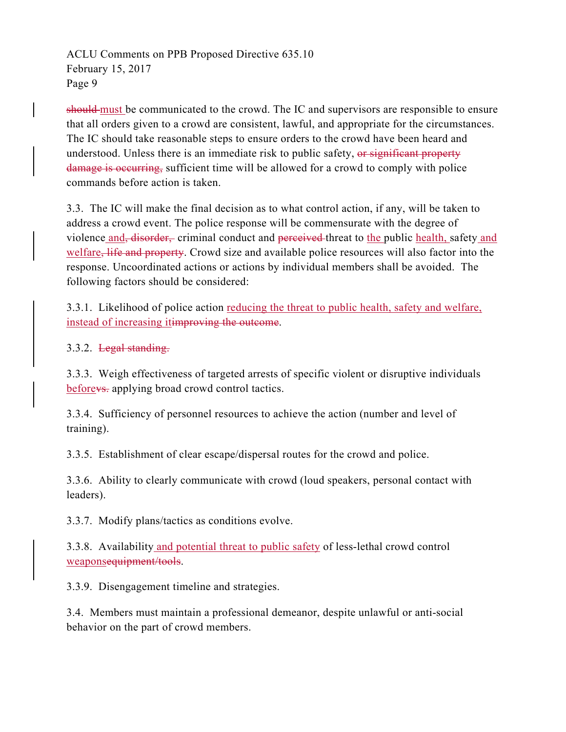should must be communicated to the crowd. The IC and supervisors are responsible to ensure that all orders given to a crowd are consistent, lawful, and appropriate for the circumstances. The IC should take reasonable steps to ensure orders to the crowd have been heard and understood. Unless there is an immediate risk to public safety, or significant property damage is occurring, sufficient time will be allowed for a crowd to comply with police commands before action is taken.

3.3. The IC will make the final decision as to what control action, if any, will be taken to address a crowd event. The police response will be commensurate with the degree of violence and, disorder, criminal conduct and perceived threat to the public health, safety and welfare, life and property. Crowd size and available police resources will also factor into the response. Uncoordinated actions or actions by individual members shall be avoided. The following factors should be considered:

3.3.1. Likelihood of police action reducing the threat to public health, safety and welfare, instead of increasing itimproving the outcome.

3.3.2. Legal standing.

3.3.3. Weigh effectiveness of targeted arrests of specific violent or disruptive individuals before<del>vs.</del> applying broad crowd control tactics.

3.3.4. Sufficiency of personnel resources to achieve the action (number and level of training).

3.3.5. Establishment of clear escape/dispersal routes for the crowd and police.

3.3.6. Ability to clearly communicate with crowd (loud speakers, personal contact with leaders).

3.3.7. Modify plans/tactics as conditions evolve.

3.3.8. Availability and potential threat to public safety of less-lethal crowd control weaponsequipment/tools.

3.3.9. Disengagement timeline and strategies.

3.4. Members must maintain a professional demeanor, despite unlawful or anti-social behavior on the part of crowd members.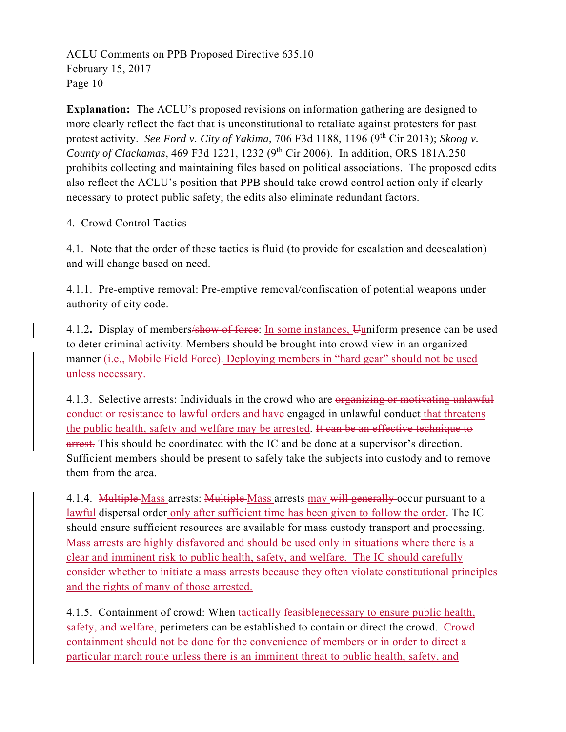**Explanation:** The ACLU's proposed revisions on information gathering are designed to more clearly reflect the fact that is unconstitutional to retaliate against protesters for past protest activity. *See Ford v. City of Yakima*, 706 F3d 1188, 1196 (9<sup>th</sup> Cir 2013); *Skoog v. County of Clackamas*, 469 F3d 1221, 1232 (9th Cir 2006). In addition, ORS 181A.250 prohibits collecting and maintaining files based on political associations. The proposed edits also reflect the ACLU's position that PPB should take crowd control action only if clearly necessary to protect public safety; the edits also eliminate redundant factors.

### 4. Crowd Control Tactics

4.1. Note that the order of these tactics is fluid (to provide for escalation and deescalation) and will change based on need.

4.1.1. Pre-emptive removal: Pre-emptive removal/confiscation of potential weapons under authority of city code.

4.1.2**.** Display of members/show of force: In some instances, Uuniform presence can be used to deter criminal activity. Members should be brought into crowd view in an organized manner (*i.e.*, Mobile Field Force). Deploying members in "hard gear" should not be used unless necessary.

4.1.3. Selective arrests: Individuals in the crowd who are organizing or motivating unlawful conduct or resistance to lawful orders and have engaged in unlawful conduct that threatens the public health, safety and welfare may be arrested. It can be an effective technique to arrest. This should be coordinated with the IC and be done at a supervisor's direction. Sufficient members should be present to safely take the subjects into custody and to remove them from the area.

4.1.4. Multiple Mass arrests: Multiple Mass arrests may will generally occur pursuant to a lawful dispersal order only after sufficient time has been given to follow the order. The IC should ensure sufficient resources are available for mass custody transport and processing. Mass arrests are highly disfavored and should be used only in situations where there is a clear and imminent risk to public health, safety, and welfare. The IC should carefully consider whether to initiate a mass arrests because they often violate constitutional principles and the rights of many of those arrested.

4.1.5. Containment of crowd: When tactically feasiblenecessary to ensure public health, safety, and welfare, perimeters can be established to contain or direct the crowd. Crowd containment should not be done for the convenience of members or in order to direct a particular march route unless there is an imminent threat to public health, safety, and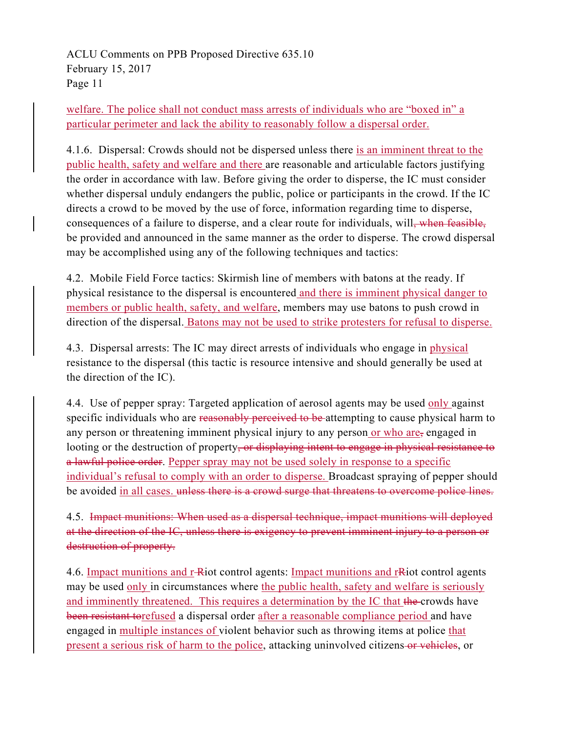welfare. The police shall not conduct mass arrests of individuals who are "boxed in" a particular perimeter and lack the ability to reasonably follow a dispersal order.

4.1.6. Dispersal: Crowds should not be dispersed unless there is an imminent threat to the public health, safety and welfare and there are reasonable and articulable factors justifying the order in accordance with law. Before giving the order to disperse, the IC must consider whether dispersal unduly endangers the public, police or participants in the crowd. If the IC directs a crowd to be moved by the use of force, information regarding time to disperse, consequences of a failure to disperse, and a clear route for individuals, will, when feasible, be provided and announced in the same manner as the order to disperse. The crowd dispersal may be accomplished using any of the following techniques and tactics:

4.2. Mobile Field Force tactics: Skirmish line of members with batons at the ready. If physical resistance to the dispersal is encountered and there is imminent physical danger to members or public health, safety, and welfare, members may use batons to push crowd in direction of the dispersal. Batons may not be used to strike protesters for refusal to disperse.

4.3. Dispersal arrests: The IC may direct arrests of individuals who engage in physical resistance to the dispersal (this tactic is resource intensive and should generally be used at the direction of the IC).

4.4. Use of pepper spray: Targeted application of aerosol agents may be used only against specific individuals who are reasonably perceived to be attempting to cause physical harm to any person or threatening imminent physical injury to any person or who are, engaged in looting or the destruction of property, or displaying intent to engage in physical resistance to a lawful police order. Pepper spray may not be used solely in response to a specific individual's refusal to comply with an order to disperse. Broadcast spraying of pepper should be avoided in all cases, unless there is a crowd surge that threatens to overcome police lines.

4.5. Impact munitions: When used as a dispersal technique, impact munitions will deployed at the direction of the IC, unless there is exigency to prevent imminent injury to a person or destruction of property.

4.6. Impact munitions and r-Riot control agents: Impact munitions and r-Riot control agents may be used only in circumstances where the public health, safety and welfare is seriously and imminently threatened. This requires a determination by the IC that the crowds have been resistant torefused a dispersal order after a reasonable compliance period and have engaged in multiple instances of violent behavior such as throwing items at police that present a serious risk of harm to the police, attacking uninvolved citizens-or vehicles, or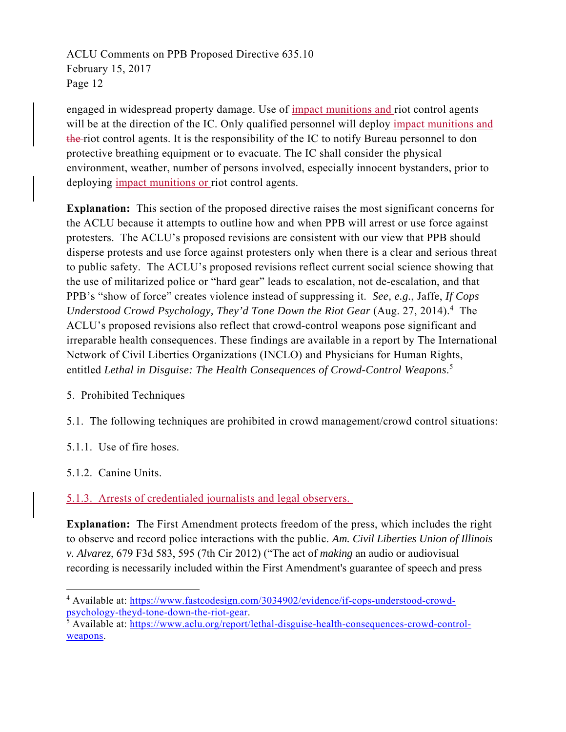engaged in widespread property damage. Use of impact munitions and riot control agents will be at the direction of the IC. Only qualified personnel will deploy impact munitions and the riot control agents. It is the responsibility of the IC to notify Bureau personnel to don protective breathing equipment or to evacuate. The IC shall consider the physical environment, weather, number of persons involved, especially innocent bystanders, prior to deploying impact munitions or riot control agents.

**Explanation:** This section of the proposed directive raises the most significant concerns for the ACLU because it attempts to outline how and when PPB will arrest or use force against protesters. The ACLU's proposed revisions are consistent with our view that PPB should disperse protests and use force against protesters only when there is a clear and serious threat to public safety. The ACLU's proposed revisions reflect current social science showing that the use of militarized police or "hard gear" leads to escalation, not de-escalation, and that PPB's "show of force" creates violence instead of suppressing it. *See, e.g.*, Jaffe, *If Cops*  Understood Crowd Psychology, They'd Tone Down the Riot Gear (Aug. 27, 2014).<sup>4</sup> The ACLU's proposed revisions also reflect that crowd-control weapons pose significant and irreparable health consequences. These findings are available in a report by The International Network of Civil Liberties Organizations (INCLO) and Physicians for Human Rights, entitled *Lethal in Disguise: The Health Consequences of Crowd-Control Weapons*. 5

### 5. Prohibited Techniques

5.1. The following techniques are prohibited in crowd management/crowd control situations:

5.1.1. Use of fire hoses.

5.1.2. Canine Units.

5.1.3. Arrests of credentialed journalists and legal observers.

**Explanation:** The First Amendment protects freedom of the press, which includes the right to observe and record police interactions with the public. *Am. Civil Liberties Union of Illinois v. Alvarez*, 679 F3d 583, 595 (7th Cir 2012) ("The act of *making* an audio or audiovisual recording is necessarily included within the First Amendment's guarantee of speech and press

 <sup>4</sup> Available at: https://www.fastcodesign.com/3034902/evidence/if-cops-understood-crowdpsychology-theyd-tone-down-the-riot-gear. 5

 $\frac{1}{5}$  Available at: https://www.aclu.org/report/lethal-disguise-health-consequences-crowd-controlweapons.